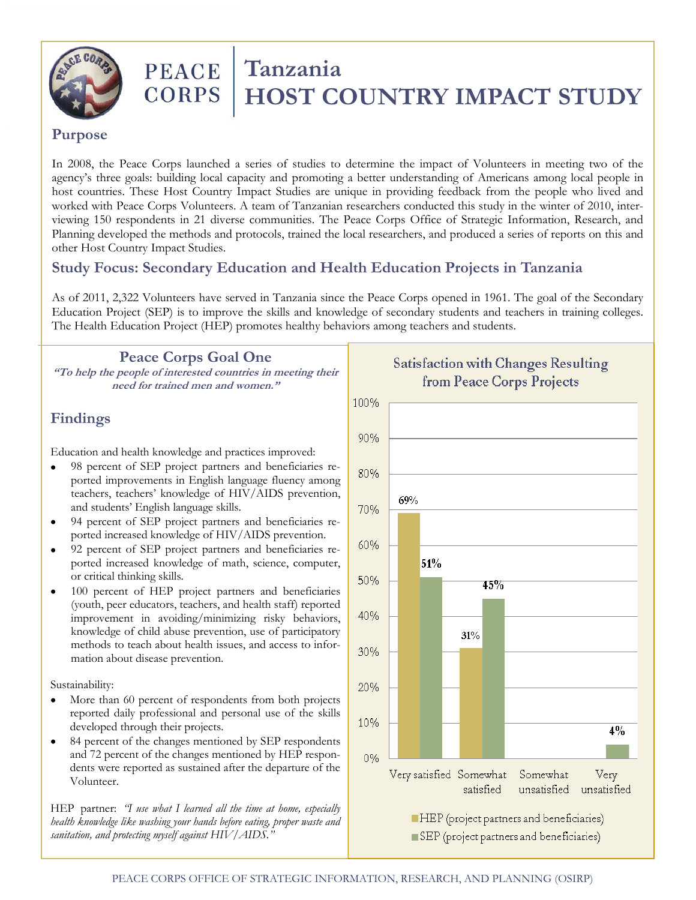

# PEACE Tanzania<br>CORPS HOST CO  **HOST COUNTRY IMPACT STUDY**

#### **Purpose**

In 2008, the Peace Corps launched a series of studies to determine the impact of Volunteers in meeting two of the agency's three goals: building local capacity and promoting a better understanding of Americans among local people in host countries. These Host Country Impact Studies are unique in providing feedback from the people who lived and worked with Peace Corps Volunteers. A team of Tanzanian researchers conducted this study in the winter of 2010, interviewing 150 respondents in 21 diverse communities. The Peace Corps Office of Strategic Information, Research, and Planning developed the methods and protocols, trained the local researchers, and produced a series of reports on this and other Host Country Impact Studies.

## **Study Focus: Secondary Education and Health Education Projects in Tanzania**

As of 2011, 2,322 Volunteers have served in Tanzania since the Peace Corps opened in 1961. The goal of the Secondary Education Project (SEP) is to improve the skills and knowledge of secondary students and teachers in training colleges. The Health Education Project (HEP) promotes healthy behaviors among teachers and students.

#### **Peace Corps Goal One**

**"To help the people of interested countries in meeting their need for trained men and women."**

## **Findings**

Education and health knowledge and practices improved:

- 98 percent of SEP project partners and beneficiaries re- $\bullet$ ported improvements in English language fluency among teachers, teachers' knowledge of HIV/AIDS prevention, and students' English language skills.
- 94 percent of SEP project partners and beneficiaries re- $\bullet$ ported increased knowledge of HIV/AIDS prevention.
- 92 percent of SEP project partners and beneficiaries re- $\bullet$ ported increased knowledge of math, science, computer, or critical thinking skills.
- 100 percent of HEP project partners and beneficiaries  $\bullet$ (youth, peer educators, teachers, and health staff) reported improvement in avoiding/minimizing risky behaviors, knowledge of child abuse prevention, use of participatory methods to teach about health issues, and access to information about disease prevention.

Sustainability:

- More than 60 percent of respondents from both projects  $\bullet$ reported daily professional and personal use of the skills developed through their projects.
- $\bullet$ 84 percent of the changes mentioned by SEP respondents and 72 percent of the changes mentioned by HEP respondents were reported as sustained after the departure of the Volunteer.

HEP partner: *"I use what I learned all the time at home, especially health knowledge like washing your hands before eating, proper waste and sanitation, and protecting myself against HIV/AIDS."*



**Satisfaction with Changes Resulting** from Peace Corps Projects